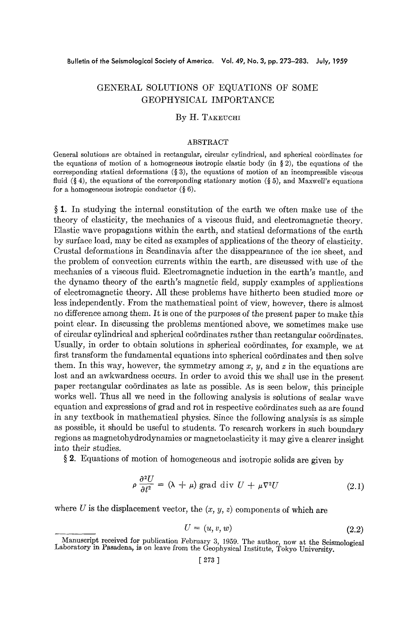# GENERAL SOLUTIONS OF EQUATIONS OF SOME GEOPHYSICAL IMPORTANCE

# By H. TAKEUCHI

#### ABSTRACT

General solutions are obtained in rectangular, circular cylindrical, and spherical cobrdinates for the equations of motion of a homogeneous isotropic elastic body (in § 2), the equations of the corresponding statical deformations  $(\S 3)$ , the equations of motion of an incompressible viscous fluid (§ 4), the equations of the corresponding stationary motion (§ 5), and Maxwell's equations for a homogeneous isotropic conductor  $(\S 6)$ .

§ 1. In studying the internal constitution of the earth we often make use of the theory of elasticity, the mechanics of a viscous fluid, and electromagnetic theory. Elastic wave propagations within the earth, and statical deformations of the earth by surface load, may be cited as examples of applications of the theory of elasticity. Crustal deformations in Scandinavia after the disappearance of the ice sheet, and the problem of convection currents within the earth, are discussed with use of the mechanics of a viscous fluid. Electromagnetic induction in the earth's mantle, and the dynamo theory of the earth's magnetic field, supply examples of applications of electromagnetic theory. All these problems have hitherto been studied more or less independently. From the mathematical point of view, however, there is almost no difference among them. It is one of the purposes of the present paper to make this point clear. In discussing the problems mentioned above, we sometimes make use of circular cylindrical and spherical coordinates rather than rectangular coordinates. Usually, in order to obtain solutions in spherical coördinates, for example, we at first transform the fundamental equations into spherical coördinates and then solve them. In this way, however, the symmetry among  $x$ ,  $y$ , and  $z$  in the equations are lost and an awkwardness occurs. In order to avoid this we shall use in the present paper rectangular co6rdinates as late as possible. As is seen below, this principle works well. Thus all we need in the following analysis is solutions of scalar wave equation and expressions of grad and rot in respective coördinates such as are found in any textbook in mathematical physics. Since the following analysis is as simple as possible, it should be useful to students. To research workers in such boundary regions as magnetohydrodynamics or magnetoelasticity it may give a clearer insight into their studies.

§ 2. Equations of motion of homogeneous and isotropic solids are given by

$$
\rho \frac{\partial^2 U}{\partial t^2} = (\lambda + \mu) \text{ grad div } U + \mu \nabla^2 U \qquad (2.1)
$$

where  $U$  is the displacement vector, the  $(x, y, z)$  components of which are

$$
U = (u, v, w) \tag{2.2}
$$

Manuscript received for publication February 3, 1959. The author, now at the Seismological Laboratory in Pasadena, is on leave from the Geophysical Institute, Tokyo University.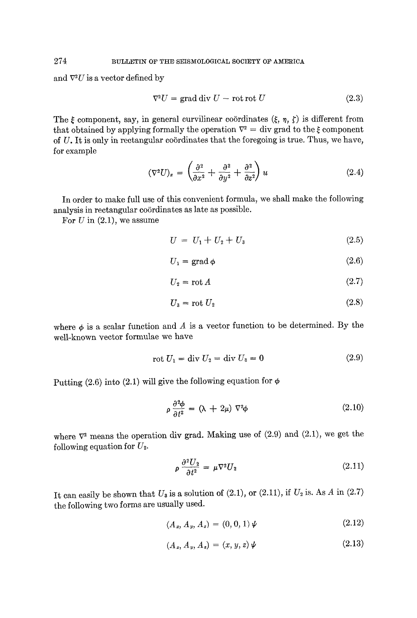and  $\nabla^2 U$  is a vector defined by

$$
\nabla^2 U = \text{grad div } U - \text{rot rot } U \tag{2.3}
$$

The  $\xi$  component, say, in general curvilinear coördinates  $(\xi, \eta, \zeta)$  is different from that obtained by applying formally the operation  $\nabla^2$  = div grad to the  $\xi$  component of  $U$ . It is only in rectangular coördinates that the foregoing is true. Thus, we have, for example

$$
(\nabla^2 U)_x = \left(\frac{\partial^2}{\partial x^2} + \frac{\partial^2}{\partial y^2} + \frac{\partial^2}{\partial z^2}\right) u \tag{2.4}
$$

In order to make full use of this convenient formula, we shall make the following analysis in rectangular coördinates as late as possible.

For  $U$  in  $(2.1)$ , we assume

$$
U = U_1 + U_2 + U_3 \tag{2.5}
$$

$$
U_1 = \text{grad}\,\phi\tag{2.6}
$$

$$
U_2 = \operatorname{rot} A \tag{2.7}
$$

$$
U_3 = \text{rot } U_2 \tag{2.8}
$$

where  $\phi$  is a scalar function and A is a vector function to be determined. By the well-known vector formulae we have

$$
rot U_1 = \text{div } U_2 = \text{div } U_3 = 0 \tag{2.9}
$$

Putting (2.6) into (2.1) will give the following equation for  $\phi$ 

$$
\rho \frac{\partial^2 \phi}{\partial t^2} = (\lambda + 2\mu) \nabla^2 \phi \tag{2.10}
$$

where  $\nabla^2$  means the operation div grad. Making use of (2.9) and (2.1), we get the following equation for  $U_2$ .

$$
\rho \frac{\partial^2 U_2}{\partial t^2} = \mu \nabla^2 U_2 \tag{2.11}
$$

It can easily be shown that  $U_3$  is a solution of (2.1), or (2.11), if  $U_2$  is. As A in (2.7) the following two forms are usually used.

$$
(A_x, A_y, A_z) = (0, 0, 1)\,\mathbf{\psi} \tag{2.12}
$$

$$
(A_x, A_y, A_z) = (x, y, z) \psi \tag{2.13}
$$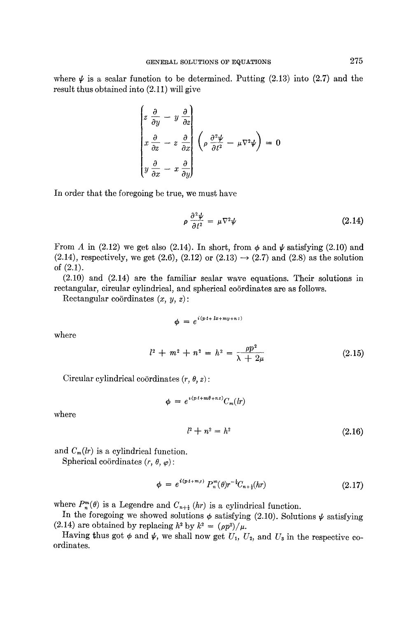where  $\psi$  is a scalar function to be determined. Putting (2.13) into (2.7) and the result thus obtained into (2.11) will give

$$
\begin{pmatrix}\n z \frac{\partial}{\partial y} - y \frac{\partial}{\partial z} \\
x \frac{\partial}{\partial z} - z \frac{\partial}{\partial x} \\
y \frac{\partial}{\partial x} - x \frac{\partial}{\partial y}\n\end{pmatrix}\n\begin{pmatrix}\n \rho \frac{\partial^2 \psi}{\partial t^2} - \mu \nabla^2 \psi\n\end{pmatrix} = 0
$$

In order that the foregoing be true, we must have

$$
\rho \frac{\partial^2 \psi}{\partial t^2} = \mu \nabla^2 \psi \tag{2.14}
$$

From A in (2.12) we get also (2.14). In short, from  $\phi$  and  $\psi$  satisfying (2.10) and  $(2.14)$ , respectively, we get  $(2.6)$ ,  $(2.12)$  or  $(2.13) \rightarrow (2.7)$  and  $(2.8)$  as the solution of (2.1).

(2.10) and (2.14) are the familiar scalar wave equations. Their solutions in rectangular, circular cylindrical, and spherical coördinates are as follows.

Rectangular coördinates  $(x, y, z)$ :

$$
\phi = e^{i(p t + lx + my + nz)}
$$

where

 $l^2 + m^2 + n^2 = h^2 = \frac{P}{\lambda + 2\mu}$  (2.15)

Circular cylindrical coördinates  $(r, \theta, z)$ :

$$
\phi = e^{i(p\,t+m\theta+nz)}C_m(dr)
$$

where

$$
l^2 + n^2 = h^2 \tag{2.16}
$$

and  $C_m(lr)$  is a cylindrical function.

Spherical coördinates  $(r, \theta, \varphi)$ :

$$
\phi = e^{i(p t + m \rho)} P_n^m(\theta) r^{-\frac{1}{2}} C_{n + \frac{1}{2}}(hr) \tag{2.17}
$$

where  $P_n^m(\theta)$  is a Legendre and  $C_{n+\frac{1}{2}}(hr)$  is a cylindrical function.

In the foregoing we showed solutions  $\phi$  satisfying (2.10). Solutions  $\psi$  satisfying (2.14) are obtained by replacing  $h^2$  by  $k^2 = (\rho p^2)/\mu$ .

Having thus got  $\phi$  and  $\psi$ , we shall now get  $U_1$ ,  $U_2$ , and  $U_3$  in the respective coordinates.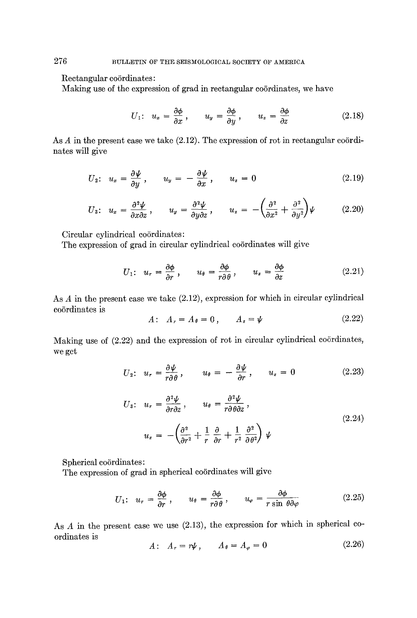## Rectangular coördinates:

Making use of the expression of grad in rectangular coördinates, we have

$$
U_1: \ \ u_x = \frac{\partial \phi}{\partial x}, \qquad u_y = \frac{\partial \phi}{\partial y}, \qquad u_z = \frac{\partial \phi}{\partial z} \tag{2.18}
$$

As  $A$  in the present case we take  $(2.12)$ . The expression of rot in rectangular coördinates will give

$$
U_2: \ \ u_x = \frac{\partial \psi}{\partial y} \ , \qquad u_y = -\frac{\partial \psi}{\partial x} \ , \qquad u_z = 0 \tag{2.19}
$$

$$
U_3: \ \ u_x = \frac{\partial^2 \psi}{\partial x \partial z}, \qquad u_y = \frac{\partial^2 \psi}{\partial y \partial z}, \qquad u_z = -\left(\frac{\partial^2}{\partial x^2} + \frac{\partial^2}{\partial y^2}\right)\psi \tag{2.20}
$$

Circular cylindrical coördinates:

The expression of grad in circular cylindrical coördinates will give

$$
U_1: \ \ u_r = \frac{\partial \phi}{\partial r}, \qquad u_\theta = \frac{\partial \phi}{r \partial \theta}, \qquad u_z = \frac{\partial \phi}{\partial z} \tag{2.21}
$$

As A in the present case we take (2.12), expression for which in circular cylindrical co6rdinates is

$$
A: A_r = A_\theta = 0, \qquad A_z = \psi \tag{2.22}
$$

Making use of  $(2.22)$  and the expression of rot in circular cylindrical coördinates, we get

$$
U_2: \ \ u_r = \frac{\partial \psi}{r \partial \theta}, \qquad u_\theta = -\frac{\partial \psi}{\partial r}, \qquad u_z = 0 \tag{2.23}
$$

$$
U_3: \t u_r = \frac{\partial^2 \psi}{\partial r \partial z}, \t u_\theta = \frac{\partial^2 \psi}{r \partial \theta \partial z},
$$
  

$$
u_z = -\left(\frac{\partial^2}{\partial r^2} + \frac{1}{r} \frac{\partial}{\partial r} + \frac{1}{r^2} \frac{\partial^2}{\partial \theta^2}\right) \psi
$$
 (2.24)

Spherical coördinates:

The expression of grad in spherical coördinates will give

$$
U_1: \ \ u_r = \frac{\partial \phi}{\partial r}, \qquad u_\theta = \frac{\partial \phi}{r \partial \theta}, \qquad u_\varphi = \frac{\partial \phi}{r \sin \theta \partial \varphi} \tag{2.25}
$$

As A in the present case we use  $(2.13)$ , the expression for which in spherical coordinates is

$$
A: A_r = r\psi, \qquad A_\theta = A_\varphi = 0 \tag{2.26}
$$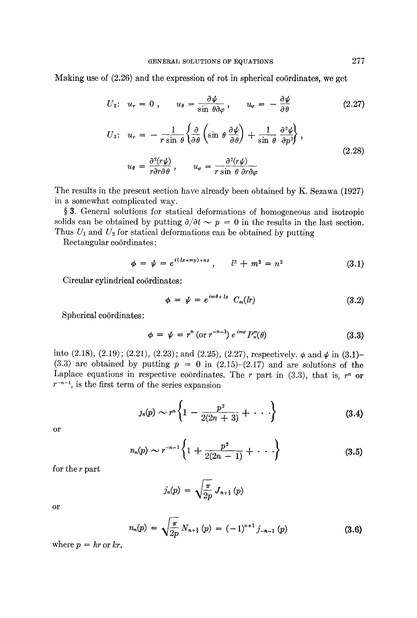Making use of  $(2.26)$  and the expression of rot in spherical coordinates, we get

$$
U_2: \ \ u_r = 0 \ , \qquad u_\theta = \frac{\partial \psi}{\sin \theta \partial \varphi} \ , \qquad u_\varphi = -\frac{\partial \psi}{\partial \theta} \tag{2.27}
$$

$$
U_3: \ \ u_r = -\frac{1}{r \sin \theta} \left\{ \frac{\partial}{\partial \theta} \left( \sin \theta \, \frac{\partial \psi}{\partial \theta} \right) + \frac{1}{\sin \theta} \, \frac{\partial^2 \psi}{\partial p^2} \right\},
$$
  

$$
u_{\theta} = \frac{\partial^2 (r \psi)}{r \partial r \partial \theta}, \qquad u_{\varphi} = \frac{\partial^2 (r \psi)}{r \sin \theta \, \partial r \partial \varphi}
$$
 (2.28)

The results in the present section have already been obtained by K. Sezawa (1927) in a somewhat complicated way.

§ 3. General solutions for statical deformations of homogeneous and isotropic solids can be obtained by putting  $\partial/\partial t \sim p = 0$  in the results in the last section. Thus  $U_1$  and  $U_2$  for statical deformations can be obtained by putting

Rectangular coördinates:

$$
\phi = \psi = e^{i(lx+my)+nz}, \qquad l^2 + m^2 = n^2 \tag{3.1}
$$

Circular cylindrical coördinates:

$$
\phi = \psi = e^{im\theta + l_z} C_m(lr) \tag{3.2}
$$

Spherical coördinates:

$$
\phi = \psi = r^n \left( \text{or } r^{-n-1} \right) e^{im\varphi} P_n^m(\theta) \tag{3.3}
$$

into  $(2.18)$ ,  $(2.19)$ ;  $(2.21)$ ,  $(2.23)$ ; and  $(2.25)$ ,  $(2.27)$ , respectively.  $\phi$  and  $\psi$  in  $(3.1)$ -(3.3) are obtained by putting  $p = 0$  in (2.15)-(2.17) and are solutions of the Laplace equations in respective coordinates. The r part in  $(3.3)$ , that is, r<sup>n</sup> or  $r^{-n-1}$ , is the first term of the series expansion

$$
g_n(p) \sim r^n \left\{ 1 - \frac{p^2}{2(2n+3)} + \cdots \right\} \tag{3.4}
$$

or

$$
n_n(p) \sim r^{-n-1} \left\{ 1 + \frac{p^2}{2(2n-1)} + \cdots \right\} \tag{3.5}
$$

for the r part

$$
j_n(p) = \sqrt{\frac{\pi}{2p}} J_{n+\frac{1}{2}}(p)
$$

or

$$
n_n(p) = \sqrt{\frac{\pi}{2p}} N_{n+\frac{1}{2}}(p) = (-1)^{n+1} j_{-n-1}(p)
$$
 (3.6)

where  $p = hr$  or kr.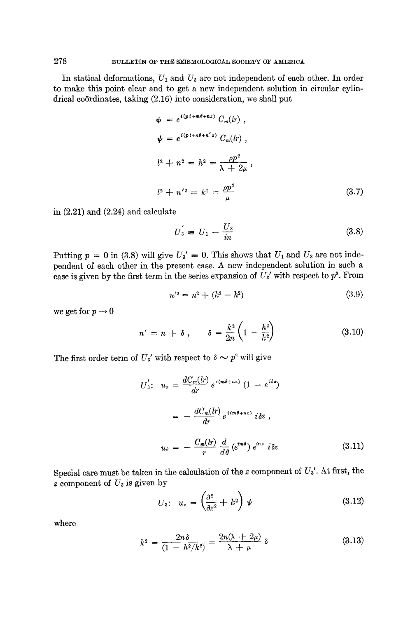In statical deformations,  $U_1$  and  $U_3$  are not independent of each other. In order to make this point clear and to get a new independent solution in circular cylindrical coördinates, taking  $(2.16)$  into consideration, we shall put

$$
\phi = e^{i(p \cdot t + m\theta + nz)} C_m(lr) ,
$$
  
\n
$$
\psi = e^{i(p \cdot t + n\theta + n'z)} C_m(lr) ,
$$
  
\n
$$
l^2 + n^2 = h^2 = \frac{\rho p^2}{\lambda + 2\mu} ,
$$
  
\n
$$
l^2 + n'^2 = k^2 = \frac{\rho p^2}{\mu}
$$
 (3.7)

in (2.21) and (2.24) and calculate

$$
U_3 = U_1 - \frac{U_3}{in} \tag{3.8}
$$

Putting  $p = 0$  in (3.8) will give  $U_3' = 0$ . This shows that  $U_1$  and  $U_3$  are not independent of each other in the present case. A new independent solution in such a case is given by the first term in the series expansion of  $U_3'$  with respect to  $p^2$ . From

$$
n'^2 = n^2 + (k^2 - h^2) \tag{3.9}
$$

we get for  $p \rightarrow 0$ 

$$
n' = n + \delta \, , \qquad \delta = \frac{k^2}{2n} \left( 1 - \frac{h^2}{k^2} \right) \tag{3.10}
$$

The first order term of  $U_3'$  with respect to  $\delta \sim p^2$  will give

$$
U'_{3}: u_{r} = \frac{dC_{m}(lr)}{dr} e^{i(m\theta + nz)} (1 - e^{i\delta z})
$$

$$
= -\frac{dC_{m}(lr)}{dr} e^{i(m\theta + nz)} i\delta z ,
$$

$$
u_{\theta} = -\frac{C_{m}(lr)}{r} \frac{d}{d\theta} (e^{im\theta}) e^{inz} i\delta z \qquad (3.11)
$$

Special care must be taken in the calculation of the z component of *Us'.* At first, the z component of  $U_3$  is given by  $\overline{ }$ 

$$
U_3: \quad u_z = \left(\frac{\partial^2}{\partial z^2} + k^2\right) \psi \tag{3.12}
$$

where

$$
k^2 = \frac{2n\delta}{(1 - h^2/k^2)} = \frac{2n(\lambda + 2\mu)}{\lambda + \mu} \delta \tag{3.13}
$$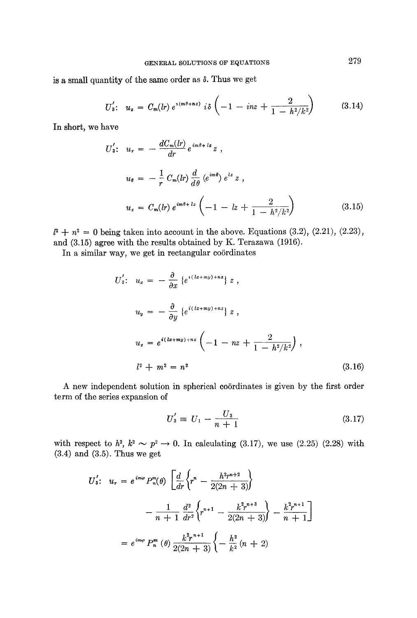is a small quantity of the same order as  $\delta$ . Thus we get

$$
U_3': \quad u_z = C_m(lr) \; e^{i(m\theta + nz)} \; i\delta \left( -1 \; -\; inz + \frac{2}{1 \; -\; h^2/k^2} \right) \tag{3.14}
$$

In short, we have

$$
U'_{3}: u_{r} = -\frac{dC_{m}(lr)}{dr} e^{im\theta + lz} z ,
$$
  
\n
$$
u_{\theta} = -\frac{1}{r} C_{m}(lr) \frac{d}{d\theta} (e^{im\theta}) e^{iz} z ,
$$
  
\n
$$
u_{z} = C_{m}(lr) e^{im\theta + lz} \left( -1 - lz + \frac{2}{1 - h^{2}/k^{2}} \right)
$$
(3.15)

 $l^2 + n^2 = 0$  being taken into account in the above. Equations (3.2), (2.21), (2.23), and (3.15) agree with the results obtained by K. Terazawa (1916).

In a similar way, we get in rectangular coördinates

$$
U'_{3}: u_{x} = -\frac{\partial}{\partial x} \{e^{i(lx+my)+nz}\} z ,
$$
  
\n
$$
u_{y} = -\frac{\partial}{\partial y} \{e^{i(lx+my)+nz}\} z ,
$$
  
\n
$$
u_{z} = e^{i(lx+my)+nz} \left(-1 - nz + \frac{2}{1 - h^{2}/k^{2}}\right) ,
$$
  
\n
$$
l^{2} + m^{2} = n^{2}
$$
\n(3.16)

A new independent solution in spherical coördinates is given by the first order term of the series expansion of

$$
U_3' = U_1 - \frac{U_3}{n+1} \tag{3.17}
$$

with respect to  $h^2$ ,  $k^2 \sim p^2 \rightarrow 0$ . In calculating (3.17), we use (2.25) (2.28) with (3.4) and (3.5). Thus we get

$$
U'_3: u_r = e^{im\varphi} P_n^m(\theta) \left[ \frac{d}{dr} \left\{ r^n - \frac{h^2 r^{n+2}}{2(2n+3)} \right\} \right. \\ \left. - \frac{1}{n+1} \frac{d^2}{dr^2} \left\{ r^{n+1} - \frac{k^2 r^{n+3}}{2(2n+3)} \right\} - \frac{k^2 r^{n+1}}{n+1} \right] \\ = e^{im\varphi} P_n^m(\theta) \frac{k^2 r^{n+1}}{2(2n+3)} \left\{ - \frac{h^2}{k^2} (n+2) \right\}
$$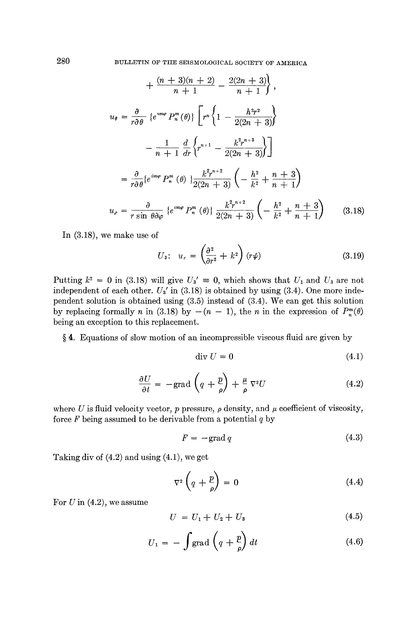$$
+\frac{(n+3)(n+2)}{n+1} - \frac{2(2n+3)}{n+1},
$$
  
\n
$$
u_{\theta} = \frac{\partial}{r\partial\theta} \left\{ e^{im\varphi} P_n^m(\theta) \right\} \left[ r^n \left\{ 1 - \frac{h^2 r^2}{2(2n+3)} \right\} - \frac{1}{n+1} \frac{d}{dr} \left\{ r^{n+1} - \frac{k^2 r^{n+3}}{2(2n+3)} \right\} \right]
$$
  
\n
$$
= \frac{\partial}{r\partial\theta} \left\{ e^{im\varphi} P_n^m(\theta) \right\} \frac{k^2 r^{n+2}}{2(2n+3)} \left( -\frac{h^2}{k^2} + \frac{n+3}{n+1} \right)
$$
  
\n
$$
u_{\varphi} = \frac{\partial}{r \sin \theta \partial \varphi} \left\{ e^{im\varphi} P_n^m(\theta) \right\} \frac{k^2 r^{n+2}}{2(2n+3)} \left( -\frac{h^2}{k^2} + \frac{n+3}{n+1} \right) \tag{3.18}
$$

In (3.18), we make use of

$$
U_3: \quad u_r = \left(\frac{\partial^2}{\partial r^2} + k^2\right)(r\psi) \tag{3.19}
$$

 $\overline{ }$ 

Putting  $k^2 = 0$  in (3.18) will give  $U_3' = 0$ , which shows that  $U_1$  and  $U_3$  are not independent of each other.  $U_3'$  in (3.18) is obtained by using (3.4). One more independent solution is obtained using (3.5) instead of (3.4). We can get this solution by replacing formally n in (3.18) by  $-(n-1)$ , the n in the expression of  $P_n^m(\theta)$ being an exception to this replacement.

§ 4. Equations of slow motion of an incompressible viscous fluid are given by

$$
\operatorname{div} U = 0 \tag{4.1}
$$

$$
\frac{\partial U}{\partial t} = -\text{grad}\left(q + \frac{p}{\rho}\right) + \frac{\mu}{\rho}\nabla^2 U\tag{4.2}
$$

where U is fluid velocity vector,  $p$  pressure,  $\rho$  density, and  $\mu$  coefficient of viscosity, force  $F$  being assumed to be derivable from a potential  $q$  by

$$
F = -\text{grad } q \tag{4.3}
$$

Taking div of (4.2) and using (4.1), we get

$$
\nabla^2 \left( q + \frac{p}{\rho} \right) = 0 \tag{4.4}
$$

For  $U$  in  $(4.2)$ , we assume

$$
U = U_1 + U_2 + U_3 \tag{4.5}
$$

$$
U_1 = -\int \text{grad} \left( q + \frac{p}{\rho} \right) dt \tag{4.6}
$$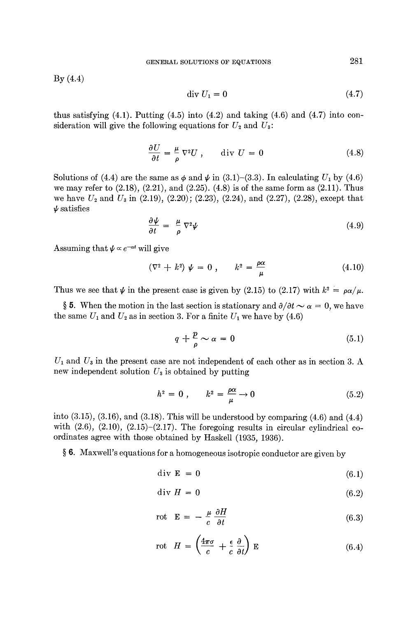By (4.4)

$$
\operatorname{div} U_1 = 0 \tag{4.7}
$$

thus satisfying  $(4.1)$ . Putting  $(4.5)$  into  $(4.2)$  and taking  $(4.6)$  and  $(4.7)$  into consideration will give the following equations for  $U_2$  and  $U_3$ :

$$
\frac{\partial U}{\partial t} = \frac{\mu}{\rho} \nabla^2 U \,, \qquad \text{div } U = 0 \tag{4.8}
$$

Solutions of (4.4) are the same as  $\phi$  and  $\psi$  in (3.1)-(3.3). In calculating  $U_1$  by (4.6) we may refer to  $(2.18)$ ,  $(2.21)$ , and  $(2.25)$ .  $(4.8)$  is of the same form as  $(2.11)$ . Thus we have  $U_2$  and  $U_3$  in (2.19), (2.20); (2.23), (2.24), and (2.27), (2.28), except that  $\nu$  satisfies

$$
\frac{\partial \psi}{\partial t} = \frac{\mu}{\rho} \nabla^2 \psi \tag{4.9}
$$

Assuming that  $\psi \propto e^{-\alpha t}$  will give

$$
(\nabla^2 + k^2) \psi = 0 , \qquad k^2 = \frac{\rho \alpha}{\mu}
$$
 (4.10)

Thus we see that  $\psi$  in the present case is given by (2.15) to (2.17) with  $k^2 = \rho \alpha / \mu$ .

§ 5. When the motion in the last section is stationary and  $\partial/\partial t \sim \alpha = 0$ , we have the same  $U_1$  and  $U_2$  as in section 3. For a finite  $U_1$  we have by (4.6)

$$
q + \frac{p}{\rho} \sim \alpha = 0 \tag{5.1}
$$

 $U_1$  and  $U_3$  in the present case are not independent of each other as in section 3. A new independent solution  $U_3$  is obtained by putting

$$
h^2 = 0 , \qquad k^2 = \frac{\rho \alpha}{\mu} \to 0 \tag{5.2}
$$

into  $(3.15)$ ,  $(3.16)$ , and  $(3.18)$ . This will be understood by comparing  $(4.6)$  and  $(4.4)$ with  $(2.6)$ ,  $(2.10)$ ,  $(2.15)$ - $(2.17)$ . The foregoing results in circular cylindrical coordinates agree with those obtained by Haskell (1935, 1936).

§ 6. Maxwell's equations for a homogeneous isotropic conductor are given by

$$
\text{div } \mathbf{E} = 0 \tag{6.1}
$$

$$
\text{div } H = 0 \tag{6.2}
$$

$$
\text{rot} \quad \mathbf{E} = -\frac{\mu}{c} \frac{\partial H}{\partial t} \tag{6.3}
$$

$$
\text{rot} \quad H = \left(\frac{4\pi\sigma}{c} + \frac{\epsilon}{c} \frac{\partial}{\partial t}\right) \mathbf{E} \tag{6.4}
$$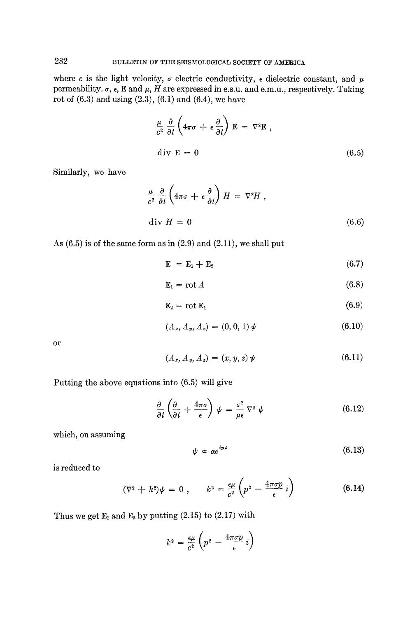where c is the light velocity,  $\sigma$  electric conductivity,  $\epsilon$  dielectric constant, and  $\mu$ permeability.  $\sigma$ ,  $\epsilon$ , E and  $\mu$ , H are expressed in e.s.u. and e.m.u., respectively. Taking rot of (6.3) and using (2.3), (6.1) and (6.4), we have

$$
\frac{\mu}{c^2} \frac{\partial}{\partial t} \left( 4\pi \sigma + \epsilon \frac{\partial}{\partial t} \right) \mathbf{E} = \nabla^2 \mathbf{E} ,
$$
  
div  $\mathbf{E} = 0$  (6.5)

Similarly, we have

$$
\frac{\mu}{c^2} \frac{\partial}{\partial t} \left( 4\pi\sigma + \epsilon \frac{\partial}{\partial t} \right) H = \nabla^2 H ,
$$
  
div  $H = 0$  (6.6)

As  $(6.5)$  is of the same form as in  $(2.9)$  and  $(2.11)$ , we shall put

$$
\mathbf{E} = \mathbf{E}_1 + \mathbf{E}_2 \tag{6.7}
$$

$$
E_1 = \operatorname{rot} A \tag{6.8}
$$

$$
\mathbf{E}_2 = \text{rot } \mathbf{E}_1 \tag{6.9}
$$

$$
(A_x, A_y, A_z) = (0, 0, 1) \psi \tag{6.10}
$$

or

$$
(A_x, A_y, A_z) = (x, y, z) \psi \tag{6.11}
$$

Putting the above equations into (6.5) will give

$$
\frac{\partial}{\partial t} \left( \frac{\partial}{\partial t} + \frac{4\pi\sigma}{\epsilon} \right) \psi = \frac{\sigma^2}{\mu \epsilon} \nabla^2 \psi \tag{6.12}
$$

which, on assuming

$$
\psi \propto \alpha e^{ipt} \tag{6.13}
$$

is reduced to

$$
(\nabla^2 + k^2)\psi = 0 , \qquad k^2 = \frac{\epsilon \mu}{c^2} \left( p^2 - \frac{4\pi \sigma p}{\epsilon} i \right)
$$
 (6.14)

Thus we get  $E_1$  and  $E_2$  by putting (2.15) to (2.17) with

$$
k^2 = \frac{\epsilon \mu}{c^2} \left( p^2 - \frac{4\pi \sigma p}{\epsilon} i \right)
$$